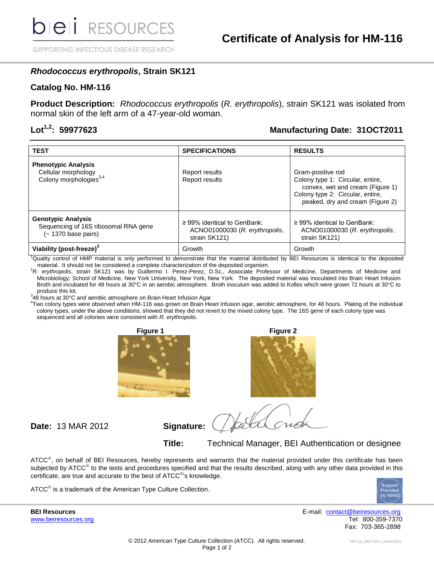SUPPORTING INFECTIOUS DISEASE RESEARCH

### *Rhodococcus erythropolis***, Strain SK121**

### **Catalog No. HM-116**

**Product Description:** *Rhodococcus erythropolis* (*R. erythropolis*), strain SK121 was isolated from normal skin of the left arm of a 47-year-old woman.

## **Lot1,2: 59977623 Manufacturing Date: 31OCT2011**

| <b>TEST</b>                                                                                       | <b>SPECIFICATIONS</b>                                                               | <b>RESULTS</b>                                                                                                                                                    |
|---------------------------------------------------------------------------------------------------|-------------------------------------------------------------------------------------|-------------------------------------------------------------------------------------------------------------------------------------------------------------------|
| <b>Phenotypic Analysis</b><br>Cellular morphology<br>Colony morphologies <sup>3,4</sup>           | Report results<br>Report results                                                    | Gram-positive rod<br>Colony type 1: Circular, entire,<br>convex, wet and cream (Figure 1)<br>Colony type 2: Circular, entire,<br>peaked, dry and cream (Figure 2) |
| <b>Genotypic Analysis</b><br>Sequencing of 16S ribosomal RNA gene<br>$(-1370 \text{ base pairs})$ | $\geq$ 99% identical to GenBank:<br>ACNO01000030 (R. erythropolis,<br>strain SK121) | $\geq$ 99% identical to GenBank:<br>ACNO01000030 (R. erythropolis,<br>strain SK121)                                                                               |
| Viability (post-freeze) <sup>3</sup>                                                              | Growth                                                                              | Growth                                                                                                                                                            |

<sup>1</sup>Quality control of HMP material is only performed to demonstrate that the material distributed by BEI Resources is identical to the deposited material. It should not be considered a complete characterization of the deposited organism.

<sup>2</sup>*R. erythropolis*, strain SK121 was by Guillermo I. Perez-Perez, D.Sc., Associate Professor of Medicine, Departments of Medicine and Microbiology; School of Medicine, New York University, New York, New York. The deposited material was inoculated into Brain Heart Infusion Broth and incubated for 48 hours at 30°C in an aerobic atmosphere. Broth inoculum was added to Kolles which were grown 72 hours at 30°C to produce this lot.

 $348$  hours at 30°C and aerobic atmosphere on Brain Heart Infusion Agar

4 Two colony types were observed when HM-116 was grown on Brain Heart Infusion agar, aerobic atmosphere, for 48 hours. Plating of the individual colony types, under the above conditions, showed that they did not revert to the mixed colony type. The 16S gene of each colony type was sequenced and all colonies were consistent with *R. erythropolis*.





**Date:** 13 MAR 2012 **Signature:**

**Title:** Technical Manager, BEI Authentication or designee

ATCC<sup>®</sup>, on behalf of BEI Resources, hereby represents and warrants that the material provided under this certificate has been subjected by ATCC<sup>®</sup> to the tests and procedures specified and that the results described, along with any other data provided in this certificate, are true and accurate to the best of ATCC<sup>®</sup>'s knowledge.

 $\tt ATCC^@$  is a trademark of the American Type Culture Collection.



[www.beiresources.org](http://www.beiresources.org/)

**BEI Resources** E-mail: [contact@beiresources.org](mailto:contact@beiresources.org) Fax: 703-365-2898